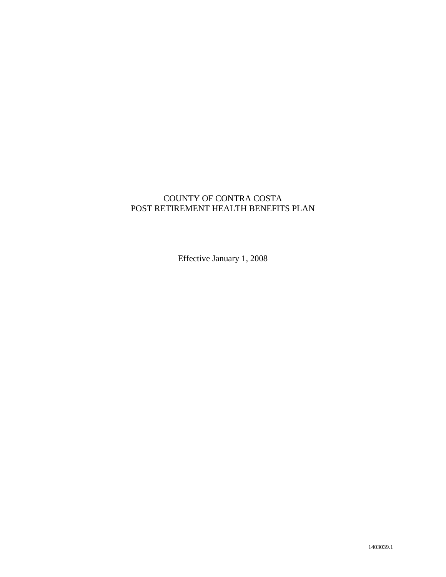# COUNTY OF CONTRA COSTA POST RETIREMENT HEALTH BENEFITS PLAN

Effective January 1, 2008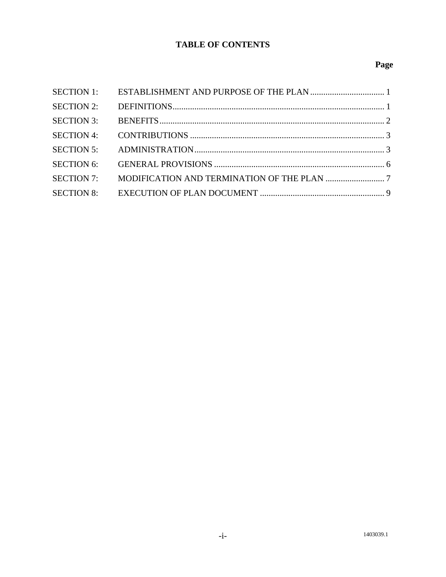## **TABLE OF CONTENTS**

# **Page**

| <b>SECTION 2:</b> |  |
|-------------------|--|
| <b>SECTION 3:</b> |  |
| <b>SECTION 4:</b> |  |
| <b>SECTION 5:</b> |  |
| <b>SECTION 6:</b> |  |
| <b>SECTION 7:</b> |  |
|                   |  |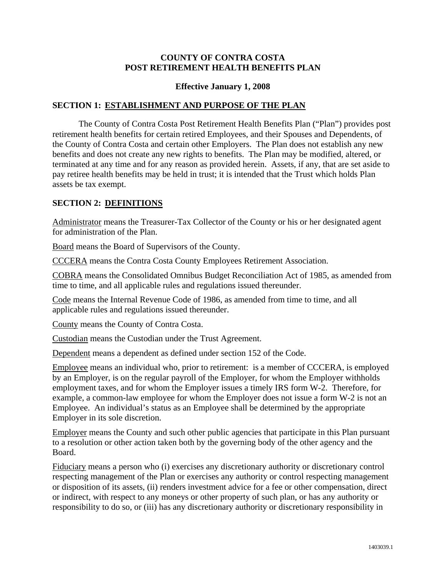## **COUNTY OF CONTRA COSTA POST RETIREMENT HEALTH BENEFITS PLAN**

### **Effective January 1, 2008**

#### **SECTION 1: ESTABLISHMENT AND PURPOSE OF THE PLAN**

 The County of Contra Costa Post Retirement Health Benefits Plan ("Plan") provides post retirement health benefits for certain retired Employees, and their Spouses and Dependents, of the County of Contra Costa and certain other Employers. The Plan does not establish any new benefits and does not create any new rights to benefits. The Plan may be modified, altered, or terminated at any time and for any reason as provided herein. Assets, if any, that are set aside to pay retiree health benefits may be held in trust; it is intended that the Trust which holds Plan assets be tax exempt.

## **SECTION 2: DEFINITIONS**

Administrator means the Treasurer-Tax Collector of the County or his or her designated agent for administration of the Plan.

Board means the Board of Supervisors of the County.

CCCERA means the Contra Costa County Employees Retirement Association.

COBRA means the Consolidated Omnibus Budget Reconciliation Act of 1985, as amended from time to time, and all applicable rules and regulations issued thereunder.

Code means the Internal Revenue Code of 1986, as amended from time to time, and all applicable rules and regulations issued thereunder.

County means the County of Contra Costa.

Custodian means the Custodian under the Trust Agreement.

Dependent means a dependent as defined under section 152 of the Code.

Employee means an individual who, prior to retirement: is a member of CCCERA, is employed by an Employer, is on the regular payroll of the Employer, for whom the Employer withholds employment taxes, and for whom the Employer issues a timely IRS form W-2. Therefore, for example, a common-law employee for whom the Employer does not issue a form W-2 is not an Employee. An individual's status as an Employee shall be determined by the appropriate Employer in its sole discretion.

Employer means the County and such other public agencies that participate in this Plan pursuant to a resolution or other action taken both by the governing body of the other agency and the Board.

Fiduciary means a person who (i) exercises any discretionary authority or discretionary control respecting management of the Plan or exercises any authority or control respecting management or disposition of its assets, (ii) renders investment advice for a fee or other compensation, direct or indirect, with respect to any moneys or other property of such plan, or has any authority or responsibility to do so, or (iii) has any discretionary authority or discretionary responsibility in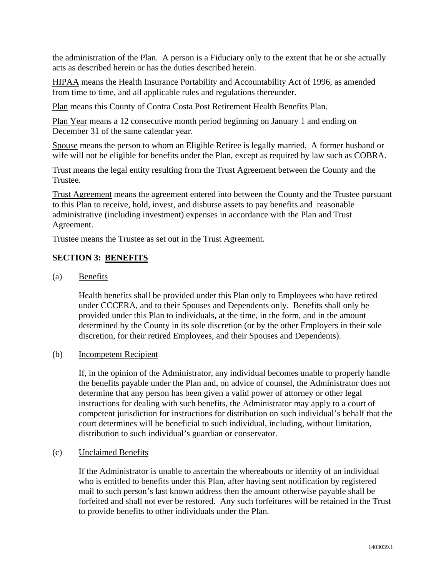the administration of the Plan. A person is a Fiduciary only to the extent that he or she actually acts as described herein or has the duties described herein.

HIPAA means the Health Insurance Portability and Accountability Act of 1996, as amended from time to time, and all applicable rules and regulations thereunder.

Plan means this County of Contra Costa Post Retirement Health Benefits Plan.

Plan Year means a 12 consecutive month period beginning on January 1 and ending on December 31 of the same calendar year.

Spouse means the person to whom an Eligible Retiree is legally married. A former husband or wife will not be eligible for benefits under the Plan, except as required by law such as COBRA.

Trust means the legal entity resulting from the Trust Agreement between the County and the Trustee.

Trust Agreement means the agreement entered into between the County and the Trustee pursuant to this Plan to receive, hold, invest, and disburse assets to pay benefits and reasonable administrative (including investment) expenses in accordance with the Plan and Trust Agreement.

Trustee means the Trustee as set out in the Trust Agreement.

## **SECTION 3: BENEFITS**

(a) Benefits

Health benefits shall be provided under this Plan only to Employees who have retired under CCCERA, and to their Spouses and Dependents only. Benefits shall only be provided under this Plan to individuals, at the time, in the form, and in the amount determined by the County in its sole discretion (or by the other Employers in their sole discretion, for their retired Employees, and their Spouses and Dependents).

## (b) Incompetent Recipient

If, in the opinion of the Administrator, any individual becomes unable to properly handle the benefits payable under the Plan and, on advice of counsel, the Administrator does not determine that any person has been given a valid power of attorney or other legal instructions for dealing with such benefits, the Administrator may apply to a court of competent jurisdiction for instructions for distribution on such individual's behalf that the court determines will be beneficial to such individual, including, without limitation, distribution to such individual's guardian or conservator.

#### (c) Unclaimed Benefits

If the Administrator is unable to ascertain the whereabouts or identity of an individual who is entitled to benefits under this Plan, after having sent notification by registered mail to such person's last known address then the amount otherwise payable shall be forfeited and shall not ever be restored. Any such forfeitures will be retained in the Trust to provide benefits to other individuals under the Plan.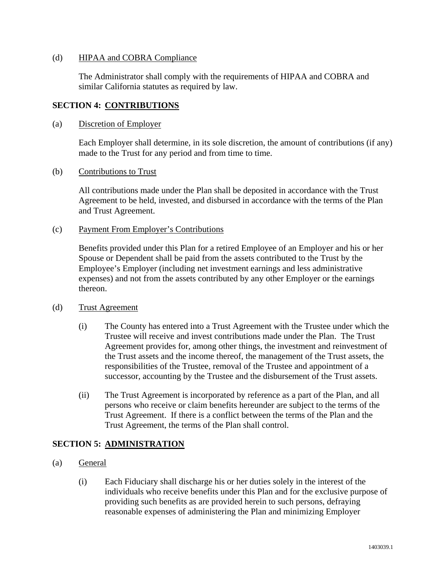### (d) HIPAA and COBRA Compliance

The Administrator shall comply with the requirements of HIPAA and COBRA and similar California statutes as required by law.

## **SECTION 4: CONTRIBUTIONS**

### (a) Discretion of Employer

Each Employer shall determine, in its sole discretion, the amount of contributions (if any) made to the Trust for any period and from time to time.

(b) Contributions to Trust

All contributions made under the Plan shall be deposited in accordance with the Trust Agreement to be held, invested, and disbursed in accordance with the terms of the Plan and Trust Agreement.

(c) Payment From Employer's Contributions

Benefits provided under this Plan for a retired Employee of an Employer and his or her Spouse or Dependent shall be paid from the assets contributed to the Trust by the Employee's Employer (including net investment earnings and less administrative expenses) and not from the assets contributed by any other Employer or the earnings thereon.

- (d) Trust Agreement
	- (i) The County has entered into a Trust Agreement with the Trustee under which the Trustee will receive and invest contributions made under the Plan. The Trust Agreement provides for, among other things, the investment and reinvestment of the Trust assets and the income thereof, the management of the Trust assets, the responsibilities of the Trustee, removal of the Trustee and appointment of a successor, accounting by the Trustee and the disbursement of the Trust assets.
	- (ii) The Trust Agreement is incorporated by reference as a part of the Plan, and all persons who receive or claim benefits hereunder are subject to the terms of the Trust Agreement. If there is a conflict between the terms of the Plan and the Trust Agreement, the terms of the Plan shall control.

## **SECTION 5: ADMINISTRATION**

- (a) General
	- (i) Each Fiduciary shall discharge his or her duties solely in the interest of the individuals who receive benefits under this Plan and for the exclusive purpose of providing such benefits as are provided herein to such persons, defraying reasonable expenses of administering the Plan and minimizing Employer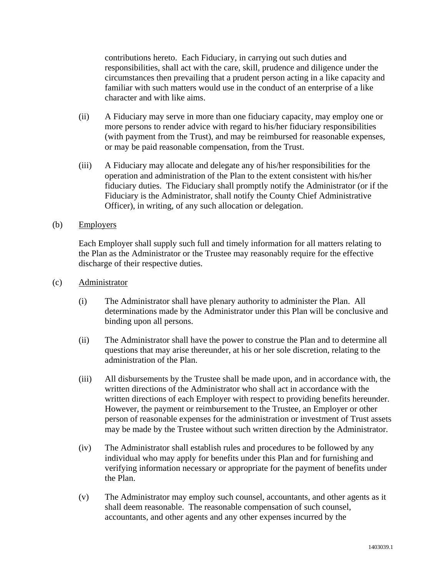contributions hereto. Each Fiduciary, in carrying out such duties and responsibilities, shall act with the care, skill, prudence and diligence under the circumstances then prevailing that a prudent person acting in a like capacity and familiar with such matters would use in the conduct of an enterprise of a like character and with like aims.

- (ii) A Fiduciary may serve in more than one fiduciary capacity, may employ one or more persons to render advice with regard to his/her fiduciary responsibilities (with payment from the Trust), and may be reimbursed for reasonable expenses, or may be paid reasonable compensation, from the Trust.
- (iii) A Fiduciary may allocate and delegate any of his/her responsibilities for the operation and administration of the Plan to the extent consistent with his/her fiduciary duties. The Fiduciary shall promptly notify the Administrator (or if the Fiduciary is the Administrator, shall notify the County Chief Administrative Officer), in writing, of any such allocation or delegation.

### (b) Employers

Each Employer shall supply such full and timely information for all matters relating to the Plan as the Administrator or the Trustee may reasonably require for the effective discharge of their respective duties.

- (c) Administrator
	- (i) The Administrator shall have plenary authority to administer the Plan. All determinations made by the Administrator under this Plan will be conclusive and binding upon all persons.
	- (ii) The Administrator shall have the power to construe the Plan and to determine all questions that may arise thereunder, at his or her sole discretion, relating to the administration of the Plan.
	- (iii) All disbursements by the Trustee shall be made upon, and in accordance with, the written directions of the Administrator who shall act in accordance with the written directions of each Employer with respect to providing benefits hereunder. However, the payment or reimbursement to the Trustee, an Employer or other person of reasonable expenses for the administration or investment of Trust assets may be made by the Trustee without such written direction by the Administrator.
	- (iv) The Administrator shall establish rules and procedures to be followed by any individual who may apply for benefits under this Plan and for furnishing and verifying information necessary or appropriate for the payment of benefits under the Plan.
	- (v) The Administrator may employ such counsel, accountants, and other agents as it shall deem reasonable. The reasonable compensation of such counsel, accountants, and other agents and any other expenses incurred by the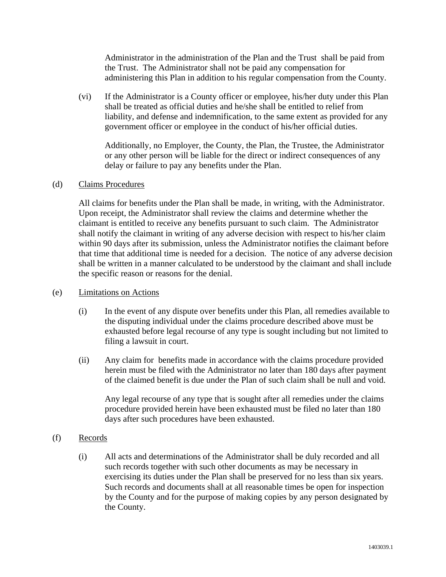Administrator in the administration of the Plan and the Trust shall be paid from the Trust. The Administrator shall not be paid any compensation for administering this Plan in addition to his regular compensation from the County.

(vi) If the Administrator is a County officer or employee, his/her duty under this Plan shall be treated as official duties and he/she shall be entitled to relief from liability, and defense and indemnification, to the same extent as provided for any government officer or employee in the conduct of his/her official duties.

Additionally, no Employer, the County, the Plan, the Trustee, the Administrator or any other person will be liable for the direct or indirect consequences of any delay or failure to pay any benefits under the Plan.

## (d) Claims Procedures

All claims for benefits under the Plan shall be made, in writing, with the Administrator. Upon receipt, the Administrator shall review the claims and determine whether the claimant is entitled to receive any benefits pursuant to such claim. The Administrator shall notify the claimant in writing of any adverse decision with respect to his/her claim within 90 days after its submission, unless the Administrator notifies the claimant before that time that additional time is needed for a decision. The notice of any adverse decision shall be written in a manner calculated to be understood by the claimant and shall include the specific reason or reasons for the denial.

#### (e) Limitations on Actions

- (i) In the event of any dispute over benefits under this Plan, all remedies available to the disputing individual under the claims procedure described above must be exhausted before legal recourse of any type is sought including but not limited to filing a lawsuit in court.
- (ii) Any claim for benefits made in accordance with the claims procedure provided herein must be filed with the Administrator no later than 180 days after payment of the claimed benefit is due under the Plan of such claim shall be null and void.

Any legal recourse of any type that is sought after all remedies under the claims procedure provided herein have been exhausted must be filed no later than 180 days after such procedures have been exhausted.

## (f) Records

(i) All acts and determinations of the Administrator shall be duly recorded and all such records together with such other documents as may be necessary in exercising its duties under the Plan shall be preserved for no less than six years. Such records and documents shall at all reasonable times be open for inspection by the County and for the purpose of making copies by any person designated by the County.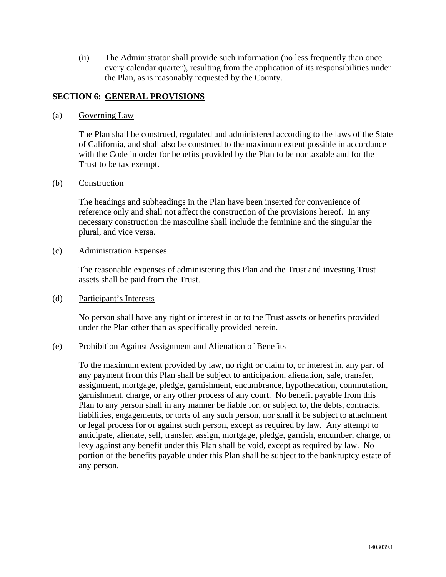(ii) The Administrator shall provide such information (no less frequently than once every calendar quarter), resulting from the application of its responsibilities under the Plan, as is reasonably requested by the County.

## **SECTION 6: GENERAL PROVISIONS**

(a) Governing Law

The Plan shall be construed, regulated and administered according to the laws of the State of California, and shall also be construed to the maximum extent possible in accordance with the Code in order for benefits provided by the Plan to be nontaxable and for the Trust to be tax exempt.

(b) Construction

The headings and subheadings in the Plan have been inserted for convenience of reference only and shall not affect the construction of the provisions hereof. In any necessary construction the masculine shall include the feminine and the singular the plural, and vice versa.

(c) Administration Expenses

The reasonable expenses of administering this Plan and the Trust and investing Trust assets shall be paid from the Trust.

(d) Participant's Interests

No person shall have any right or interest in or to the Trust assets or benefits provided under the Plan other than as specifically provided herein.

#### (e) Prohibition Against Assignment and Alienation of Benefits

To the maximum extent provided by law, no right or claim to, or interest in, any part of any payment from this Plan shall be subject to anticipation, alienation, sale, transfer, assignment, mortgage, pledge, garnishment, encumbrance, hypothecation, commutation, garnishment, charge, or any other process of any court. No benefit payable from this Plan to any person shall in any manner be liable for, or subject to, the debts, contracts, liabilities, engagements, or torts of any such person, nor shall it be subject to attachment or legal process for or against such person, except as required by law. Any attempt to anticipate, alienate, sell, transfer, assign, mortgage, pledge, garnish, encumber, charge, or levy against any benefit under this Plan shall be void, except as required by law. No portion of the benefits payable under this Plan shall be subject to the bankruptcy estate of any person.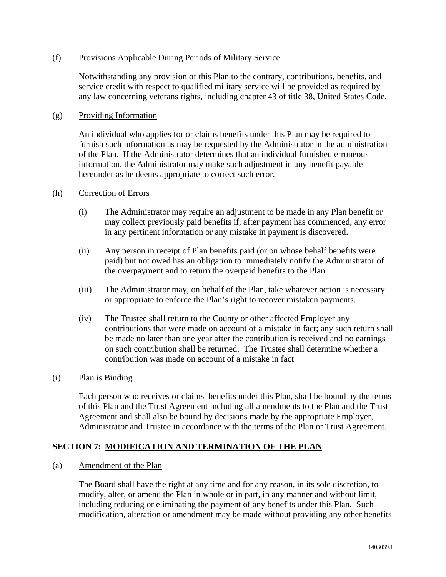### (f) Provisions Applicable During Periods of Military Service

Notwithstanding any provision of this Plan to the contrary, contributions, benefits, and service credit with respect to qualified military service will be provided as required by any law concerning veterans rights, including chapter 43 of title 38, United States Code.

### (g) Providing Information

An individual who applies for or claims benefits under this Plan may be required to furnish such information as may be requested by the Administrator in the administration of the Plan. If the Administrator determines that an individual furnished erroneous information, the Administrator may make such adjustment in any benefit payable hereunder as he deems appropriate to correct such error.

### (h) Correction of Errors

- (i) The Administrator may require an adjustment to be made in any Plan benefit or may collect previously paid benefits if, after payment has commenced, any error in any pertinent information or any mistake in payment is discovered.
- (ii) Any person in receipt of Plan benefits paid (or on whose behalf benefits were paid) but not owed has an obligation to immediately notify the Administrator of the overpayment and to return the overpaid benefits to the Plan.
- (iii) The Administrator may, on behalf of the Plan, take whatever action is necessary or appropriate to enforce the Plan's right to recover mistaken payments.
- (iv) The Trustee shall return to the County or other affected Employer any contributions that were made on account of a mistake in fact; any such return shall be made no later than one year after the contribution is received and no earnings on such contribution shall be returned. The Trustee shall determine whether a contribution was made on account of a mistake in fact

## (i) Plan is Binding

Each person who receives or claims benefits under this Plan, shall be bound by the terms of this Plan and the Trust Agreement including all amendments to the Plan and the Trust Agreement and shall also be bound by decisions made by the appropriate Employer, Administrator and Trustee in accordance with the terms of the Plan or Trust Agreement.

## **SECTION 7: MODIFICATION AND TERMINATION OF THE PLAN**

#### (a) Amendment of the Plan

The Board shall have the right at any time and for any reason, in its sole discretion, to modify, alter, or amend the Plan in whole or in part, in any manner and without limit, including reducing or eliminating the payment of any benefits under this Plan. Such modification, alteration or amendment may be made without providing any other benefits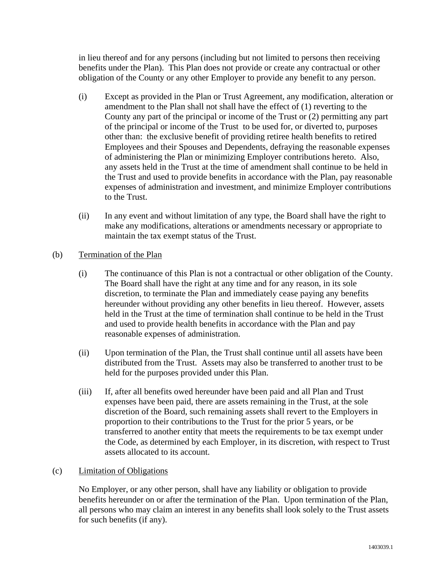in lieu thereof and for any persons (including but not limited to persons then receiving benefits under the Plan). This Plan does not provide or create any contractual or other obligation of the County or any other Employer to provide any benefit to any person.

- (i) Except as provided in the Plan or Trust Agreement, any modification, alteration or amendment to the Plan shall not shall have the effect of (1) reverting to the County any part of the principal or income of the Trust or (2) permitting any part of the principal or income of the Trust to be used for, or diverted to, purposes other than: the exclusive benefit of providing retiree health benefits to retired Employees and their Spouses and Dependents, defraying the reasonable expenses of administering the Plan or minimizing Employer contributions hereto. Also, any assets held in the Trust at the time of amendment shall continue to be held in the Trust and used to provide benefits in accordance with the Plan, pay reasonable expenses of administration and investment, and minimize Employer contributions to the Trust.
- (ii) In any event and without limitation of any type, the Board shall have the right to make any modifications, alterations or amendments necessary or appropriate to maintain the tax exempt status of the Trust.
- (b) Termination of the Plan
	- (i) The continuance of this Plan is not a contractual or other obligation of the County. The Board shall have the right at any time and for any reason, in its sole discretion, to terminate the Plan and immediately cease paying any benefits hereunder without providing any other benefits in lieu thereof. However, assets held in the Trust at the time of termination shall continue to be held in the Trust and used to provide health benefits in accordance with the Plan and pay reasonable expenses of administration.
	- (ii) Upon termination of the Plan, the Trust shall continue until all assets have been distributed from the Trust. Assets may also be transferred to another trust to be held for the purposes provided under this Plan.
	- (iii) If, after all benefits owed hereunder have been paid and all Plan and Trust expenses have been paid, there are assets remaining in the Trust, at the sole discretion of the Board, such remaining assets shall revert to the Employers in proportion to their contributions to the Trust for the prior 5 years, or be transferred to another entity that meets the requirements to be tax exempt under the Code, as determined by each Employer, in its discretion, with respect to Trust assets allocated to its account.

## (c) Limitation of Obligations

No Employer, or any other person, shall have any liability or obligation to provide benefits hereunder on or after the termination of the Plan. Upon termination of the Plan, all persons who may claim an interest in any benefits shall look solely to the Trust assets for such benefits (if any).